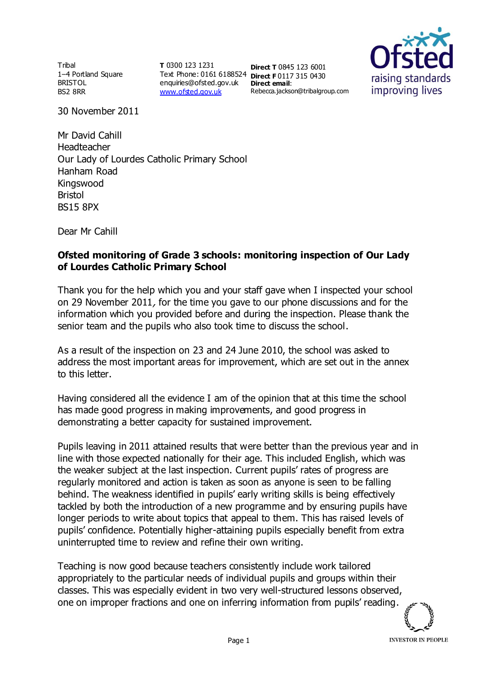Tribal 1–4 Portland Square BRISTOL BS2 8RR

**T** 0300 123 1231 Text Phone: 0161 6188524 **Direct F** 0117 315 0430 enquiries@ofsted.gov.uk **Direct email**: [www.ofsted.gov.uk](http://www.ofsted.gov.uk/)

**Direct T** 0845 123 6001 Rebecca.jackson@tribalgroup.com



30 November 2011

Mr David Cahill Headteacher Our Lady of Lourdes Catholic Primary School Hanham Road Kingswood Bristol BS15 8PX

Dear Mr Cahill

## **Ofsted monitoring of Grade 3 schools: monitoring inspection of Our Lady of Lourdes Catholic Primary School**

Thank you for the help which you and your staff gave when I inspected your school on 29 November 2011, for the time you gave to our phone discussions and for the information which you provided before and during the inspection. Please thank the senior team and the pupils who also took time to discuss the school.

As a result of the inspection on 23 and 24 June 2010, the school was asked to address the most important areas for improvement, which are set out in the annex to this letter.

Having considered all the evidence I am of the opinion that at this time the school has made good progress in making improvements, and good progress in demonstrating a better capacity for sustained improvement.

Pupils leaving in 2011 attained results that were better than the previous year and in line with those expected nationally for their age. This included English, which was the weaker subject at the last inspection. Current pupils' rates of progress are regularly monitored and action is taken as soon as anyone is seen to be falling behind. The weakness identified in pupils' early writing skills is being effectively tackled by both the introduction of a new programme and by ensuring pupils have longer periods to write about topics that appeal to them. This has raised levels of pupils' confidence. Potentially higher-attaining pupils especially benefit from extra uninterrupted time to review and refine their own writing.

Teaching is now good because teachers consistently include work tailored appropriately to the particular needs of individual pupils and groups within their classes. This was especially evident in two very well-structured lessons observed, one on improper fractions and one on inferring information from pupils' reading.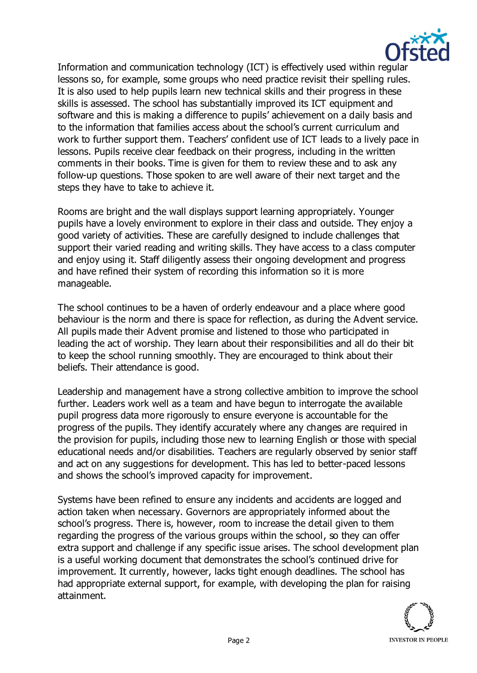

Information and communication technology (ICT) is effectively used within regular lessons so, for example, some groups who need practice revisit their spelling rules. It is also used to help pupils learn new technical skills and their progress in these skills is assessed. The school has substantially improved its ICT equipment and software and this is making a difference to pupils' achievement on a daily basis and to the information that families access about the school's current curriculum and work to further support them. Teachers' confident use of ICT leads to a lively pace in lessons. Pupils receive clear feedback on their progress, including in the written comments in their books. Time is given for them to review these and to ask any follow-up questions. Those spoken to are well aware of their next target and the steps they have to take to achieve it.

Rooms are bright and the wall displays support learning appropriately. Younger pupils have a lovely environment to explore in their class and outside. They enjoy a good variety of activities. These are carefully designed to include challenges that support their varied reading and writing skills. They have access to a class computer and enjoy using it. Staff diligently assess their ongoing development and progress and have refined their system of recording this information so it is more manageable.

The school continues to be a haven of orderly endeavour and a place where good behaviour is the norm and there is space for reflection, as during the Advent service. All pupils made their Advent promise and listened to those who participated in leading the act of worship. They learn about their responsibilities and all do their bit to keep the school running smoothly. They are encouraged to think about their beliefs. Their attendance is good.

Leadership and management have a strong collective ambition to improve the school further. Leaders work well as a team and have begun to interrogate the available pupil progress data more rigorously to ensure everyone is accountable for the progress of the pupils. They identify accurately where any changes are required in the provision for pupils, including those new to learning English or those with special educational needs and/or disabilities. Teachers are regularly observed by senior staff and act on any suggestions for development. This has led to better-paced lessons and shows the school's improved capacity for improvement.

Systems have been refined to ensure any incidents and accidents are logged and action taken when necessary. Governors are appropriately informed about the school's progress. There is, however, room to increase the detail given to them regarding the progress of the various groups within the school, so they can offer extra support and challenge if any specific issue arises. The school development plan is a useful working document that demonstrates the school's continued drive for improvement. It currently, however, lacks tight enough deadlines. The school has had appropriate external support, for example, with developing the plan for raising attainment.

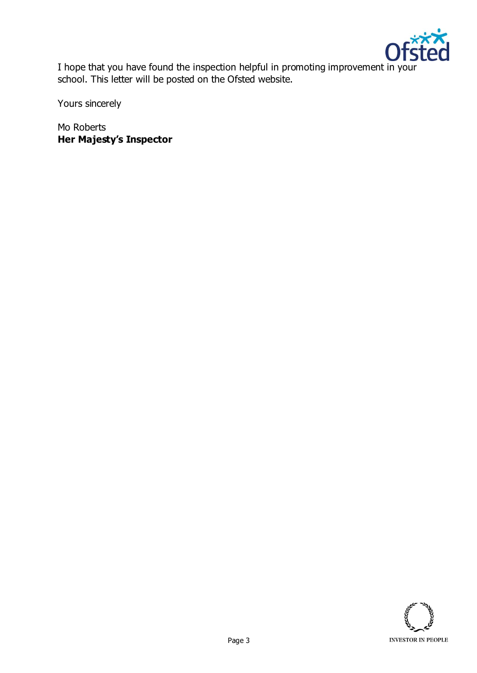

I hope that you have found the inspection helpful in promoting improvement in your school. This letter will be posted on the Ofsted website.

Yours sincerely

Mo Roberts **Her Majesty's Inspector**